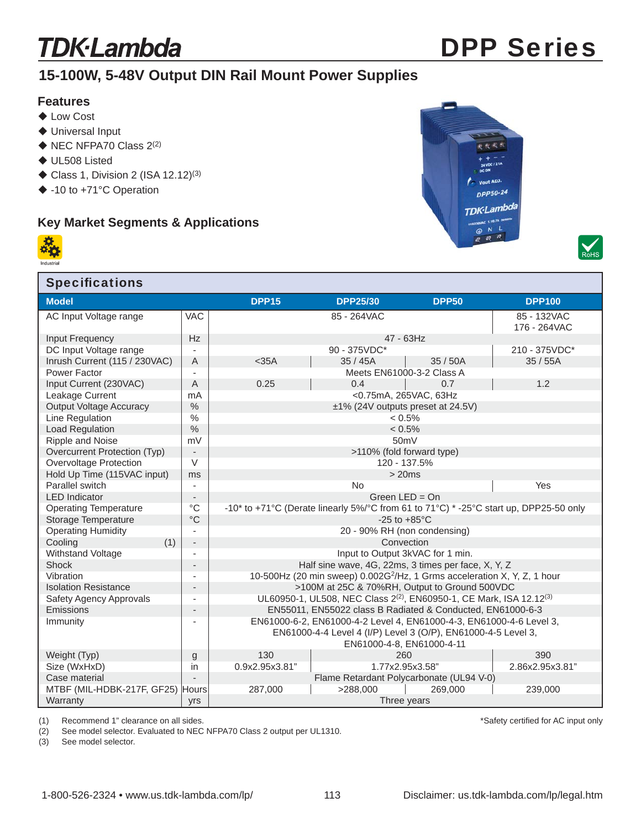# **TDK**·Lambda

# DPP Series

## **15-100W, 5-48V Output DIN Rail Mount Power Supplies**

#### **Features**

- ◆ Low Cost
- ◆ Universal Input
- $\blacklozenge$  NEC NFPA70 Class 2(2)
- ◆ UL508 Listed
- $\blacklozenge$  Class 1, Division 2 (ISA 12.12)<sup>(3)</sup>
- ◆ -10 to +71°C Operation

### **Key Market Segments & Applications**







| <b>Specifications</b>          |                          |                                                                                             |                                          |              |                 |  |  |  |  |  |  |
|--------------------------------|--------------------------|---------------------------------------------------------------------------------------------|------------------------------------------|--------------|-----------------|--|--|--|--|--|--|
| <b>Model</b>                   |                          | <b>DPP15</b>                                                                                | <b>DPP25/30</b>                          | <b>DPP50</b> | <b>DPP100</b>   |  |  |  |  |  |  |
| AC Input Voltage range         | <b>VAC</b>               |                                                                                             | 85 - 264VAC                              |              | 85 - 132VAC     |  |  |  |  |  |  |
|                                |                          |                                                                                             | 176 - 264VAC                             |              |                 |  |  |  |  |  |  |
| Input Frequency                | <b>Hz</b>                | 47 - 63Hz                                                                                   |                                          |              |                 |  |  |  |  |  |  |
| DC Input Voltage range         |                          |                                                                                             | 90 - 375VDC*                             |              | 210 - 375VDC*   |  |  |  |  |  |  |
| Inrush Current (115 / 230VAC)  | A                        | $<$ 35A<br>35/45A<br>35/50A                                                                 |                                          |              | 35/55A          |  |  |  |  |  |  |
| Power Factor                   | ÷.                       | Meets EN61000-3-2 Class A                                                                   |                                          |              |                 |  |  |  |  |  |  |
| Input Current (230VAC)         | A                        | 0.25                                                                                        | 0.4                                      | 0.7          | 1.2             |  |  |  |  |  |  |
| Leakage Current                | mA                       | <0.75mA, 265VAC, 63Hz                                                                       |                                          |              |                 |  |  |  |  |  |  |
| <b>Output Voltage Accuracy</b> | $\frac{0}{0}$            | ±1% (24V outputs preset at 24.5V)                                                           |                                          |              |                 |  |  |  |  |  |  |
| Line Regulation                | $\%$                     | $< 0.5\%$                                                                                   |                                          |              |                 |  |  |  |  |  |  |
| Load Regulation                | $\frac{0}{0}$            | $< 0.5\%$                                                                                   |                                          |              |                 |  |  |  |  |  |  |
| Ripple and Noise               | mV                       | 50 <sub>m</sub> V                                                                           |                                          |              |                 |  |  |  |  |  |  |
| Overcurrent Protection (Typ)   | $\overline{\phantom{a}}$ | >110% (fold forward type)                                                                   |                                          |              |                 |  |  |  |  |  |  |
| Overvoltage Protection         | $\vee$                   | 120 - 137.5%                                                                                |                                          |              |                 |  |  |  |  |  |  |
| Hold Up Time (115VAC input)    | ms                       | >20ms<br>No                                                                                 |                                          |              |                 |  |  |  |  |  |  |
| Parallel switch                | $\overline{\phantom{a}}$ |                                                                                             | Yes                                      |              |                 |  |  |  |  |  |  |
| <b>LED</b> Indicator           | $\overline{\phantom{a}}$ | Green $LED = On$                                                                            |                                          |              |                 |  |  |  |  |  |  |
| <b>Operating Temperature</b>   | $^{\circ}C$              | -10* to +71°C (Derate linearly 5%/°C from 61 to 71°C) * -25°C start up, DPP25-50 only       |                                          |              |                 |  |  |  |  |  |  |
| Storage Temperature            | $\rm ^{\circ}C$          | $-25$ to $+85^{\circ}$ C                                                                    |                                          |              |                 |  |  |  |  |  |  |
| <b>Operating Humidity</b>      | $\overline{\phantom{a}}$ | 20 - 90% RH (non condensing)                                                                |                                          |              |                 |  |  |  |  |  |  |
| (1)<br>Cooling                 | $\overline{\phantom{a}}$ | Convection                                                                                  |                                          |              |                 |  |  |  |  |  |  |
| Withstand Voltage              |                          | Input to Output 3kVAC for 1 min.                                                            |                                          |              |                 |  |  |  |  |  |  |
| Shock                          |                          | Half sine wave, 4G, 22ms, 3 times per face, X, Y, Z                                         |                                          |              |                 |  |  |  |  |  |  |
| Vibration                      | $\overline{\phantom{a}}$ | 10-500Hz (20 min sweep) 0.002G <sup>2</sup> /Hz, 1 Grms acceleration X, Y, Z, 1 hour        |                                          |              |                 |  |  |  |  |  |  |
| <b>Isolation Resistance</b>    |                          | >100M at 25C & 70%RH, Output to Ground 500VDC                                               |                                          |              |                 |  |  |  |  |  |  |
| Safety Agency Approvals        |                          | UL60950-1, UL508, NEC Class 2 <sup>(2)</sup> , EN60950-1, CE Mark, ISA 12.12 <sup>(3)</sup> |                                          |              |                 |  |  |  |  |  |  |
| <b>Emissions</b>               |                          | EN55011, EN55022 class B Radiated & Conducted, EN61000-6-3                                  |                                          |              |                 |  |  |  |  |  |  |
| Immunity                       |                          | EN61000-6-2, EN61000-4-2 Level 4, EN61000-4-3, EN61000-4-6 Level 3,                         |                                          |              |                 |  |  |  |  |  |  |
|                                |                          | EN61000-4-4 Level 4 (I/P) Level 3 (O/P), EN61000-4-5 Level 3,                               |                                          |              |                 |  |  |  |  |  |  |
|                                |                          | EN61000-4-8, EN61000-4-11                                                                   |                                          |              |                 |  |  |  |  |  |  |
| Weight (Typ)                   | g                        | 130                                                                                         | 260                                      |              | 390             |  |  |  |  |  |  |
| Size (WxHxD)                   | in                       | 0.9x2.95x3.81"                                                                              | 1.77x2.95x3.58"                          |              | 2.86x2.95x3.81" |  |  |  |  |  |  |
| Case material                  |                          |                                                                                             | Flame Retardant Polycarbonate (UL94 V-0) |              |                 |  |  |  |  |  |  |
| MTBF (MIL-HDBK-217F, GF25)     | <b>Hours</b>             | 287,000                                                                                     | >288,000<br>269,000                      |              | 239,000         |  |  |  |  |  |  |
| Warranty                       | yrs                      | Three years                                                                                 |                                          |              |                 |  |  |  |  |  |  |

(1) Recommend 1" clearance on all sides.

(2) See model selector. Evaluated to NEC NFPA70 Class 2 output per UL1310.

(3) See model selector.